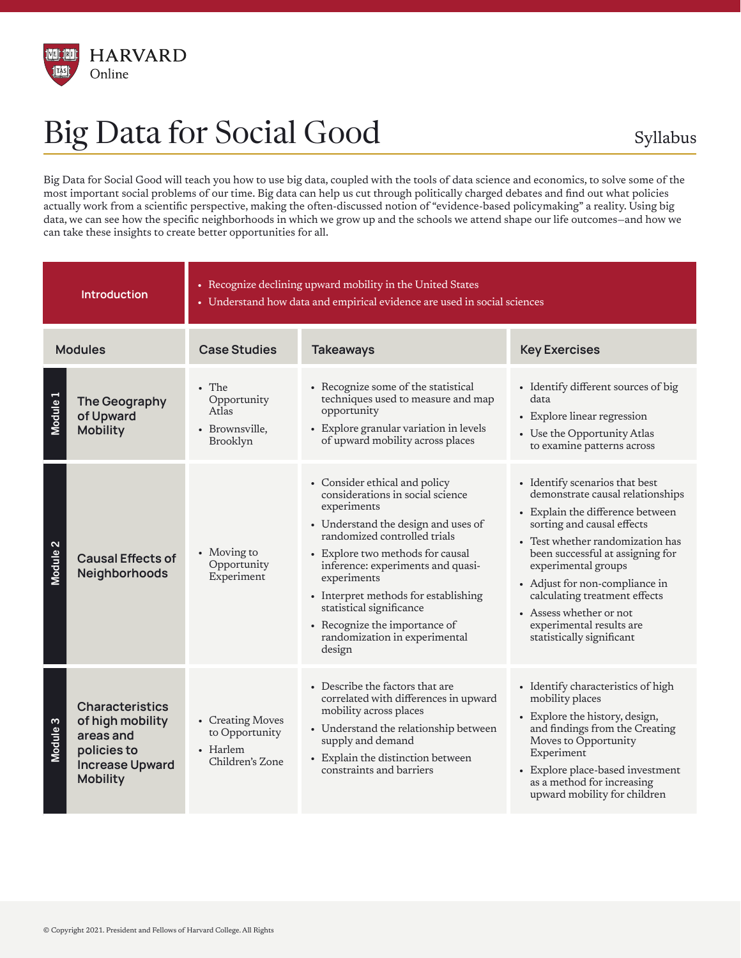

## Big Data for Social Good Syllabus

Big Data for Social Good will teach you how to use big data, coupled with the tools of data science and economics, to solve some of the most important social problems of our time. Big data can help us cut through politically charged debates and find out what policies actually work from a scientific perspective, making the often-discussed notion of "evidence-based policymaking" a reality. Using big data, we can see how the specific neighborhoods in which we grow up and the schools we attend shape our life outcomes—and how we can take these insights to create better opportunities for all.

| <b>Introduction</b> |                                                                                                                     | • Recognize declining upward mobility in the United States<br>• Understand how data and empirical evidence are used in social sciences |                                                                                                                                                                                                                                                                                                                                                                                                 |                                                                                                                                                                                                                                                                                                                                                                                            |  |
|---------------------|---------------------------------------------------------------------------------------------------------------------|----------------------------------------------------------------------------------------------------------------------------------------|-------------------------------------------------------------------------------------------------------------------------------------------------------------------------------------------------------------------------------------------------------------------------------------------------------------------------------------------------------------------------------------------------|--------------------------------------------------------------------------------------------------------------------------------------------------------------------------------------------------------------------------------------------------------------------------------------------------------------------------------------------------------------------------------------------|--|
| <b>Modules</b>      |                                                                                                                     | <b>Case Studies</b>                                                                                                                    | <b>Takeaways</b>                                                                                                                                                                                                                                                                                                                                                                                | <b>Key Exercises</b>                                                                                                                                                                                                                                                                                                                                                                       |  |
| Module 1            | The Geography<br>of Upward<br><b>Mobility</b>                                                                       | • The<br>Opportunity<br>Atlas<br>• Brownsville,<br>Brooklyn                                                                            | • Recognize some of the statistical<br>techniques used to measure and map<br>opportunity<br>• Explore granular variation in levels<br>of upward mobility across places                                                                                                                                                                                                                          | • Identify different sources of big<br>data<br>• Explore linear regression<br>• Use the Opportunity Atlas<br>to examine patterns across                                                                                                                                                                                                                                                    |  |
| Module <sub>2</sub> | <b>Causal Effects of</b><br>Neighborhoods                                                                           | • Moving to<br>Opportunity<br>Experiment                                                                                               | • Consider ethical and policy<br>considerations in social science<br>experiments<br>• Understand the design and uses of<br>randomized controlled trials<br>• Explore two methods for causal<br>inference: experiments and quasi-<br>experiments<br>• Interpret methods for establishing<br>statistical significance<br>• Recognize the importance of<br>randomization in experimental<br>design | • Identify scenarios that best<br>demonstrate causal relationships<br>• Explain the difference between<br>sorting and causal effects<br>• Test whether randomization has<br>been successful at assigning for<br>experimental groups<br>• Adjust for non-compliance in<br>calculating treatment effects<br>• Assess whether or not<br>experimental results are<br>statistically significant |  |
| Module <sub>3</sub> | <b>Characteristics</b><br>of high mobility<br>areas and<br>policies to<br><b>Increase Upward</b><br><b>Mobility</b> | • Creating Moves<br>to Opportunity<br>• Harlem<br>Children's Zone                                                                      | • Describe the factors that are<br>correlated with differences in upward<br>mobility across places<br>• Understand the relationship between<br>supply and demand<br>• Explain the distinction between<br>constraints and barriers                                                                                                                                                               | • Identify characteristics of high<br>mobility places<br>• Explore the history, design,<br>and findings from the Creating<br>Moves to Opportunity<br>Experiment<br>• Explore place-based investment<br>as a method for increasing<br>upward mobility for children                                                                                                                          |  |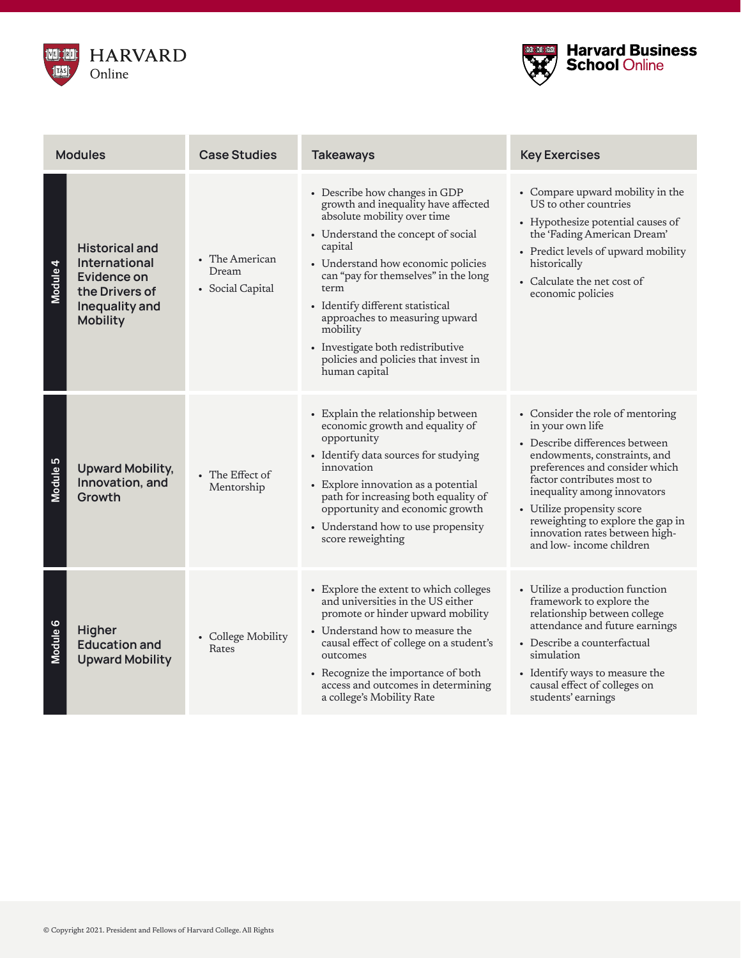



| <b>Modules</b> |                                                                                                              | <b>Case Studies</b>                         | <b>Takeaways</b>                                                                                                                                                                                                                                                                                                                                                                                                           | <b>Key Exercises</b>                                                                                                                                                                                                                                                                                                                                  |
|----------------|--------------------------------------------------------------------------------------------------------------|---------------------------------------------|----------------------------------------------------------------------------------------------------------------------------------------------------------------------------------------------------------------------------------------------------------------------------------------------------------------------------------------------------------------------------------------------------------------------------|-------------------------------------------------------------------------------------------------------------------------------------------------------------------------------------------------------------------------------------------------------------------------------------------------------------------------------------------------------|
| Module 4       | <b>Historical and</b><br>International<br>Evidence on<br>the Drivers of<br>Inequality and<br><b>Mobility</b> | • The American<br>Dream<br>• Social Capital | • Describe how changes in GDP<br>growth and inequality have affected<br>absolute mobility over time<br>• Understand the concept of social<br>capital<br>• Understand how economic policies<br>can "pay for themselves" in the long<br>term<br>• Identify different statistical<br>approaches to measuring upward<br>mobility<br>• Investigate both redistributive<br>policies and policies that invest in<br>human capital | • Compare upward mobility in the<br>US to other countries<br>• Hypothesize potential causes of<br>the 'Fading American Dream'<br>• Predict levels of upward mobility<br>historically<br>• Calculate the net cost of<br>economic policies                                                                                                              |
| Module 5       | <b>Upward Mobility,</b><br>Innovation, and<br>Growth                                                         | • The Effect of<br>Mentorship               | • Explain the relationship between<br>economic growth and equality of<br>opportunity<br>• Identify data sources for studying<br>innovation<br>• Explore innovation as a potential<br>path for increasing both equality of<br>opportunity and economic growth<br>• Understand how to use propensity<br>score reweighting                                                                                                    | • Consider the role of mentoring<br>in your own life<br>• Describe differences between<br>endowments, constraints, and<br>preferences and consider which<br>factor contributes most to<br>inequality among innovators<br>• Utilize propensity score<br>reweighting to explore the gap in<br>innovation rates between high-<br>and low-income children |
| Module 6       | <b>Higher</b><br><b>Education and</b><br><b>Upward Mobility</b>                                              | • College Mobility<br>Rates                 | • Explore the extent to which colleges<br>and universities in the US either<br>promote or hinder upward mobility<br>• Understand how to measure the<br>causal effect of college on a student's<br>outcomes<br>• Recognize the importance of both<br>access and outcomes in determining<br>a college's Mobility Rate                                                                                                        | • Utilize a production function<br>framework to explore the<br>relationship between college<br>attendance and future earnings<br>• Describe a counterfactual<br>simulation<br>• Identify ways to measure the<br>causal effect of colleges on<br>students' earnings                                                                                    |